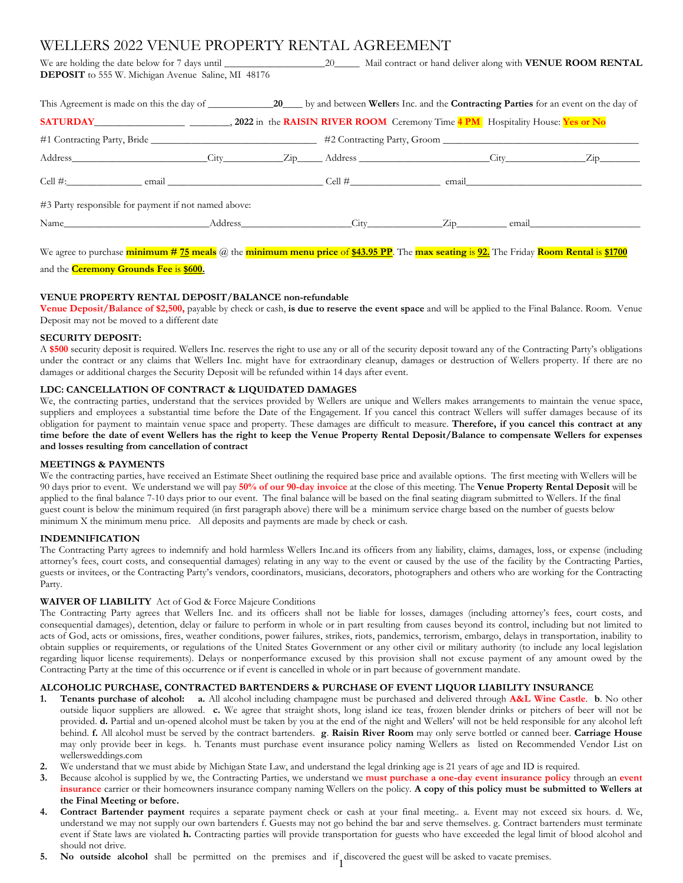# WELLERS 2022 VENUE PROPERTY RENTAL AGREEMENT

We are holding the date below for 7 days until \_\_\_\_\_\_\_\_\_\_\_\_\_\_\_\_\_\_\_\_\_\_\_\_\_\_\_\_\_\_\_\_\_ Mail contract or hand deliver along with **VENUE ROOM RENTAL DEPOSIT** to 555 W. Michigan Avenue Saline, MI 48176

| <b>SATURDAY</b> 2022 in the <b>RAISIN RIVER ROOM</b> Ceremony Time 4 PM Hospitality House: Yes or No |  |  |  |                                                                                                                                                                                                                               |  |
|------------------------------------------------------------------------------------------------------|--|--|--|-------------------------------------------------------------------------------------------------------------------------------------------------------------------------------------------------------------------------------|--|
|                                                                                                      |  |  |  |                                                                                                                                                                                                                               |  |
|                                                                                                      |  |  |  |                                                                                                                                                                                                                               |  |
|                                                                                                      |  |  |  | email and the contract of the contract of the contract of the contract of the contract of the contract of the contract of the contract of the contract of the contract of the contract of the contract of the contract of the |  |
| #3 Party responsible for payment if not named above:                                                 |  |  |  |                                                                                                                                                                                                                               |  |
| Name Address City Zip email                                                                          |  |  |  |                                                                                                                                                                                                                               |  |

We agree to purchase **minimum # 75 meals** @ the **minimum menu price** of **\$43.95 PP**. The **max seating** is **92.** The Friday **Room Rental** is **\$1700**

and the **Ceremony Grounds Fee** is **\$600.**

# **VENUE PROPERTY RENTAL DEPOSIT/BALANCE non-refundable**

**Venue Deposit/Balance of \$2,500,** payable by check or cash, **is due to reserve the event space** and will be applied to the Final Balance. Room. Venue Deposit may not be moved to a different date

## **SECURITY DEPOSIT:**

A **\$500** security deposit is required. Wellers Inc. reserves the right to use any or all of the security deposit toward any of the Contracting Party's obligations under the contract or any claims that Wellers Inc. might have for extraordinary cleanup, damages or destruction of Wellers property. If there are no damages or additional charges the Security Deposit will be refunded within 14 days after event.

## **LDC: CANCELLATION OF CONTRACT & LIQUIDATED DAMAGES**

We, the contracting parties, understand that the services provided by Wellers are unique and Wellers makes arrangements to maintain the venue space, suppliers and employees a substantial time before the Date of the Engagement. If you cancel this contract Wellers will suffer damages because of its obligation for payment to maintain venue space and property. These damages are difficult to measure. **Therefore, if you cancel this contract at any time before the date of event Wellers has the right to keep the Venue Property Rental Deposit/Balance to compensate Wellers for expenses and losses resulting from cancellation of contract**

### **MEETINGS & PAYMENTS**

We the contracting parties, have received an Estimate Sheet outlining the required base price and available options. The first meeting with Wellers will be 90 days prior to event. We understand we will pay **50% of our 90-day invoice** at the close of this meeting. The **Venue Property Rental Deposit** will be applied to the final balance 7-10 days prior to our event. The final balance will be based on the final seating diagram submitted to Wellers. If the final guest count is below the minimum required (in first paragraph above) there will be a minimum service charge based on the number of guests below minimum X the minimum menu price. All deposits and payments are made by check or cash.

## **INDEMNIFICATION**

The Contracting Party agrees to indemnify and hold harmless Wellers Inc.and its officers from any liability, claims, damages, loss, or expense (including attorney's fees, court costs, and consequential damages) relating in any way to the event or caused by the use of the facility by the Contracting Parties, guests or invitees, or the Contracting Party's vendors, coordinators, musicians, decorators, photographers and others who are working for the Contracting Party.

# **WAIVER OF LIABILITY** Act of God & Force Majeure Conditions

The Contracting Party agrees that Wellers Inc. and its officers shall not be liable for losses, damages (including attorney's fees, court costs, and consequential damages), detention, delay or failure to perform in whole or in part resulting from causes beyond its control, including but not limited to acts of God, acts or omissions, fires, weather conditions, power failures, strikes, riots, pandemics, terrorism, embargo, delays in transportation, inability to obtain supplies or requirements, or regulations of the United States Government or any other civil or military authority (to include any local legislation regarding liquor license requirements). Delays or nonperformance excused by this provision shall not excuse payment of any amount owed by the Contracting Party at the time of this occurrence or if event is cancelled in whole or in part because of government mandate.

# **ALCOHOLIC PURCHASE, CONTRACTED BARTENDERS & PURCHASE OF EVENT LIQUOR LIABILITY INSURANCE**

- **1. Tenants purchase of alcohol: a.** All alcohol including champagne must be purchased and delivered through **A&L Wine Castle**. **b**. No other outside liquor suppliers are allowed. **c.** We agree that straight shots, long island ice teas, frozen blender drinks or pitchers of beer will not be provided. **d.** Partial and un-opened alcohol must be taken by you at the end of the night and Wellers' will not be held responsible for any alcohol left behind. **f.** All alcohol must be served by the contract bartenders. **g**. **Raisin River Room** may only serve bottled or canned beer. **Carriage House** may only provide beer in kegs. h. Tenants must purchase event insurance policy naming Wellers as listed on Recommended Vendor List on wellersweddings.com
- **2.** We understand that we must abide by Michigan State Law, and understand the legal drinking age is 21 years of age and ID is required.
- **3.** Because alcohol is supplied by we, the Contracting Parties, we understand we **must purchase a one-day event insurance policy** through an **event insurance** carrier or their homeowners insurance company naming Wellers on the policy. **A copy of this policy must be submitted to Wellers at the Final Meeting or before.**
- **4. Contract Bartender payment** requires a separate payment check or cash at your final meeting.. a. Event may not exceed six hours. d. We, understand we may not supply our own bartenders f. Guests may not go behind the bar and serve themselves. g. Contract bartenders must terminate event if State laws are violated **h.** Contracting parties will provide transportation for guests who have exceeded the legal limit of blood alcohol and should not drive.
- **5.** No outside alcohol shall be permitted on the premises and if discovered the guest will be asked to vacate premises.